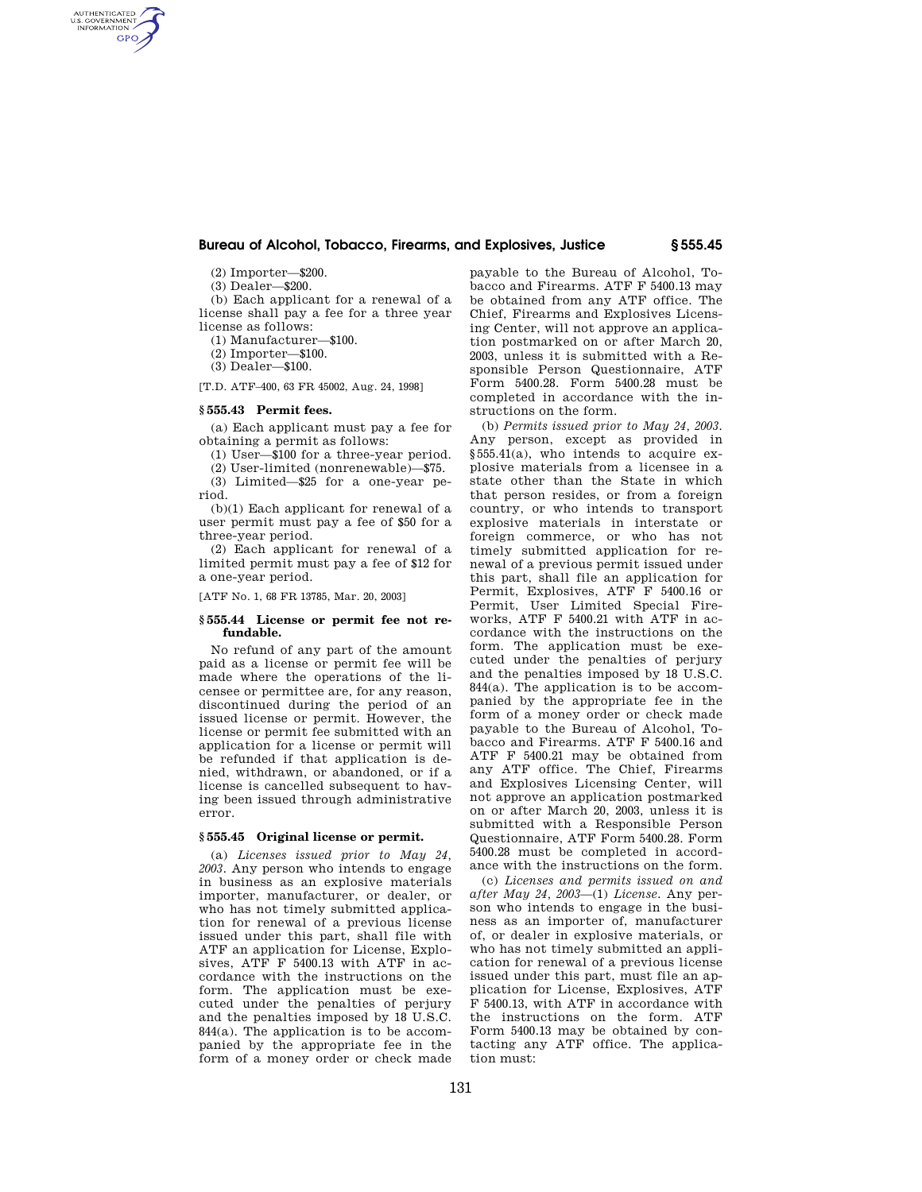# **Bureau of Alcohol, Tobacco, Firearms, and Explosives, Justice § 555.45**

(2) Importer—\$200.

(3) Dealer—\$200.

AUTHENTICATED<br>U.S. GOVERNMENT<br>INFORMATION **GPO** 

> (b) Each applicant for a renewal of a license shall pay a fee for a three year license as follows:

(1) Manufacturer—\$100.

(2) Importer—\$100.

(3) Dealer—\$100.

[T.D. ATF–400, 63 FR 45002, Aug. 24, 1998]

# **§ 555.43 Permit fees.**

(a) Each applicant must pay a fee for obtaining a permit as follows:

(1) User—\$100 for a three-year period.

(2) User-limited (nonrenewable)—\$75. (3) Limited—\$25 for a one-year pe-

riod. (b)(1) Each applicant for renewal of a

user permit must pay a fee of \$50 for a three-year period.

(2) Each applicant for renewal of a limited permit must pay a fee of \$12 for a one-year period.

[ATF No. 1, 68 FR 13785, Mar. 20, 2003]

# **§ 555.44 License or permit fee not refundable.**

No refund of any part of the amount paid as a license or permit fee will be made where the operations of the licensee or permittee are, for any reason, discontinued during the period of an issued license or permit. However, the license or permit fee submitted with an application for a license or permit will be refunded if that application is denied, withdrawn, or abandoned, or if a license is cancelled subsequent to having been issued through administrative error.

### **§ 555.45 Original license or permit.**

(a) *Licenses issued prior to May 24, 2003.* Any person who intends to engage in business as an explosive materials importer, manufacturer, or dealer, or who has not timely submitted application for renewal of a previous license issued under this part, shall file with ATF an application for License, Explosives, ATF F 5400.13 with ATF in accordance with the instructions on the form. The application must be executed under the penalties of perjury and the penalties imposed by 18 U.S.C. 844(a). The application is to be accompanied by the appropriate fee in the form of a money order or check made

payable to the Bureau of Alcohol, Tobacco and Firearms. ATF F 5400.13 may be obtained from any ATF office. The Chief, Firearms and Explosives Licensing Center, will not approve an application postmarked on or after March 20, 2003, unless it is submitted with a Responsible Person Questionnaire, ATF Form 5400.28. Form 5400.28 must be completed in accordance with the instructions on the form.

(b) *Permits issued prior to May 24, 2003.*  Any person, except as provided in §555.41(a), who intends to acquire explosive materials from a licensee in a state other than the State in which that person resides, or from a foreign country, or who intends to transport explosive materials in interstate or foreign commerce, or who has not timely submitted application for renewal of a previous permit issued under this part, shall file an application for Permit, Explosives, ATF F 5400.16 or Permit, User Limited Special Fireworks, ATF F 5400.21 with ATF in accordance with the instructions on the form. The application must be executed under the penalties of perjury and the penalties imposed by 18 U.S.C. 844(a). The application is to be accompanied by the appropriate fee in the form of a money order or check made payable to the Bureau of Alcohol, Tobacco and Firearms. ATF F 5400.16 and ATF F 5400.21 may be obtained from any ATF office. The Chief, Firearms and Explosives Licensing Center, will not approve an application postmarked on or after March 20, 2003, unless it is submitted with a Responsible Person Questionnaire, ATF Form 5400.28. Form 5400.28 must be completed in accordance with the instructions on the form.

(c) *Licenses and permits issued on and after May 24, 2003*—(1) *License.* Any person who intends to engage in the business as an importer of, manufacturer of, or dealer in explosive materials, or who has not timely submitted an application for renewal of a previous license issued under this part, must file an application for License, Explosives, ATF F 5400.13, with ATF in accordance with the instructions on the form. ATF Form 5400.13 may be obtained by contacting any ATF office. The application must: